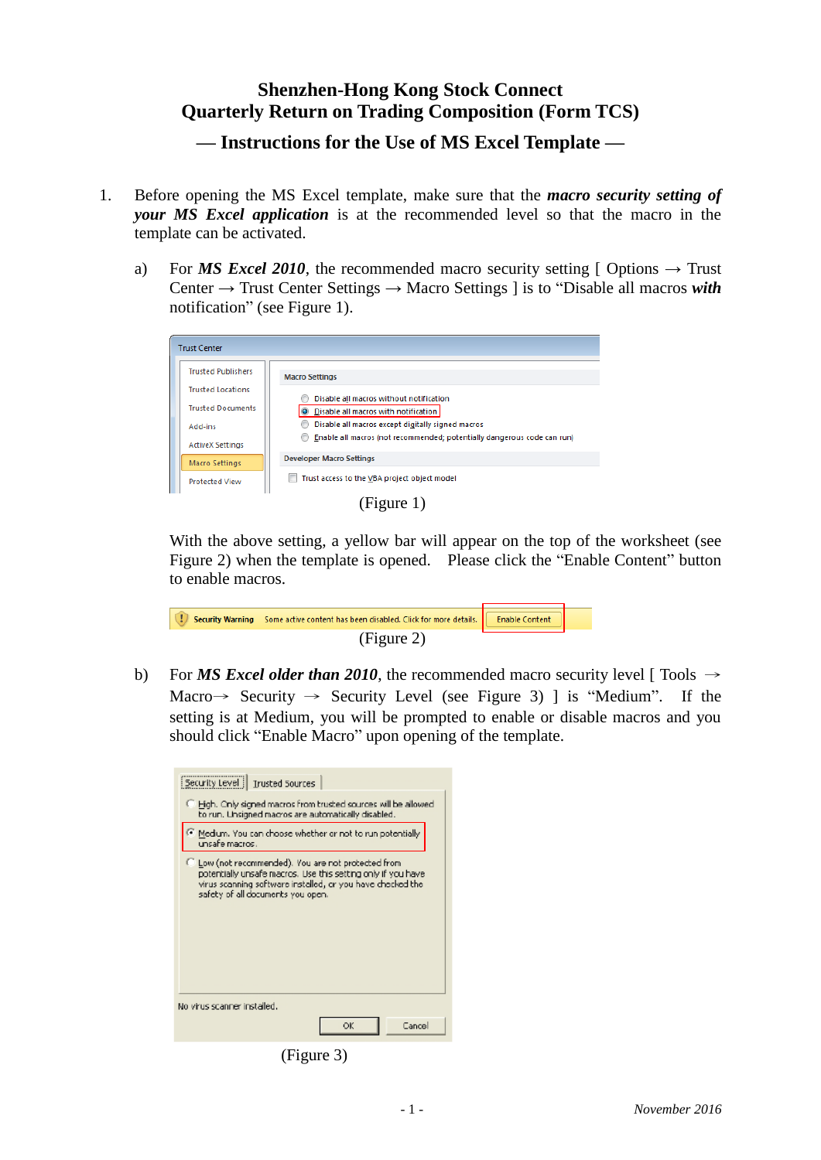## **Shenzhen-Hong Kong Stock Connect Quarterly Return on Trading Composition (Form TCS)**

**— Instructions for the Use of MS Excel Template —**

- 1. Before opening the MS Excel template, make sure that the *macro security setting of your MS Excel application* is at the recommended level so that the macro in the template can be activated.
	- a) For *MS Excel 2010*, the recommended macro security setting [ Options  $\rightarrow$  Trust Center → Trust Center Settings → Macro Settings ] is to "Disable all macros *with* notification" (see Figure 1).



(Figure 1)

With the above setting, a yellow bar will appear on the top of the worksheet (see Figure 2) when the template is opened. Please click the "Enable Content" button to enable macros.

| Security Warning Some active content has been disabled. Click for more details.   Enable Content |  |
|--------------------------------------------------------------------------------------------------|--|
| (Figure 2)                                                                                       |  |

b) For *MS Excel older than 2010*, the recommended macro security level [ Tools  $\rightarrow$ Macro  $\rightarrow$  Security  $\rightarrow$  Security Level (see Figure 3) ] is "Medium". If the setting is at Medium, you will be prompted to enable or disable macros and you should click "Enable Macro" upon opening of the template.

| Security Level   Trusted Sources                                                                                                                                                                                       |  |  |
|------------------------------------------------------------------------------------------------------------------------------------------------------------------------------------------------------------------------|--|--|
| Figh. Only signed macros from trusted sources will be allowed.<br>to run. Linsigned macros are automatically disabled.                                                                                                 |  |  |
| Medium. You can choose whether or not to run potentially<br>unsafe macros .                                                                                                                                            |  |  |
| C Low (not recommended). You are not protected from<br>potentially unsafe macros. Use this setting only if you have<br>virus scanning saftware installed, or you have checked the<br>safety of all documents you open. |  |  |
| No virus scanner installed.                                                                                                                                                                                            |  |  |
| Cancel<br>ОK                                                                                                                                                                                                           |  |  |

(Figure 3)